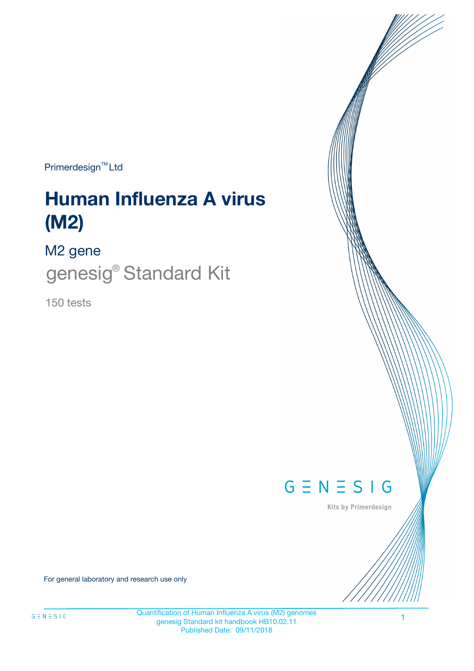Primerdesign<sup>™</sup>Ltd

# **Human Influenza A virus (M2)**

M2 gene

genesig® Standard Kit

150 tests



Kits by Primerdesign

For general laboratory and research use only

Quantification of Human Influenza A virus (M2) genomes genesig Standard kit handbook HB10.02.11 Published Date: 09/11/2018

1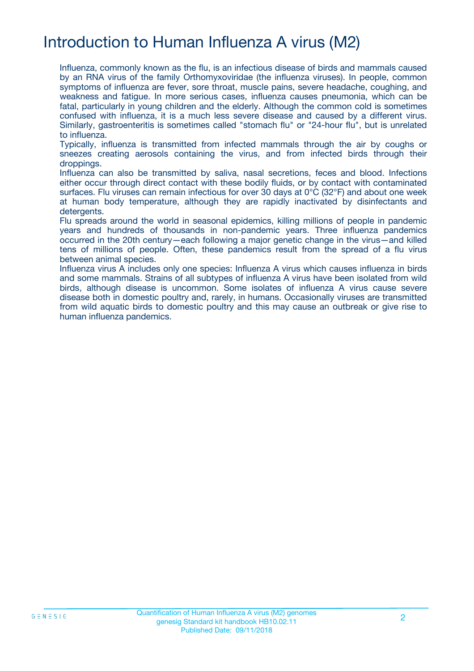# Introduction to Human Influenza A virus (M2)

Influenza, commonly known as the flu, is an infectious disease of birds and mammals caused by an RNA virus of the family Orthomyxoviridae (the influenza viruses). In people, common symptoms of influenza are fever, sore throat, muscle pains, severe headache, coughing, and weakness and fatigue. In more serious cases, influenza causes pneumonia, which can be fatal, particularly in young children and the elderly. Although the common cold is sometimes confused with influenza, it is a much less severe disease and caused by a different virus. Similarly, gastroenteritis is sometimes called "stomach flu" or "24-hour flu", but is unrelated to influenza.

Typically, influenza is transmitted from infected mammals through the air by coughs or sneezes creating aerosols containing the virus, and from infected birds through their droppings.

Influenza can also be transmitted by saliva, nasal secretions, feces and blood. Infections either occur through direct contact with these bodily fluids, or by contact with contaminated surfaces. Flu viruses can remain infectious for over 30 days at 0°C (32°F) and about one week at human body temperature, although they are rapidly inactivated by disinfectants and detergents.

Flu spreads around the world in seasonal epidemics, killing millions of people in pandemic years and hundreds of thousands in non-pandemic years. Three influenza pandemics occurred in the 20th century—each following a major genetic change in the virus—and killed tens of millions of people. Often, these pandemics result from the spread of a flu virus between animal species.

Influenza virus A includes only one species: Influenza A virus which causes influenza in birds and some mammals. Strains of all subtypes of influenza A virus have been isolated from wild birds, although disease is uncommon. Some isolates of influenza A virus cause severe disease both in domestic poultry and, rarely, in humans. Occasionally viruses are transmitted from wild aquatic birds to domestic poultry and this may cause an outbreak or give rise to human influenza pandemics.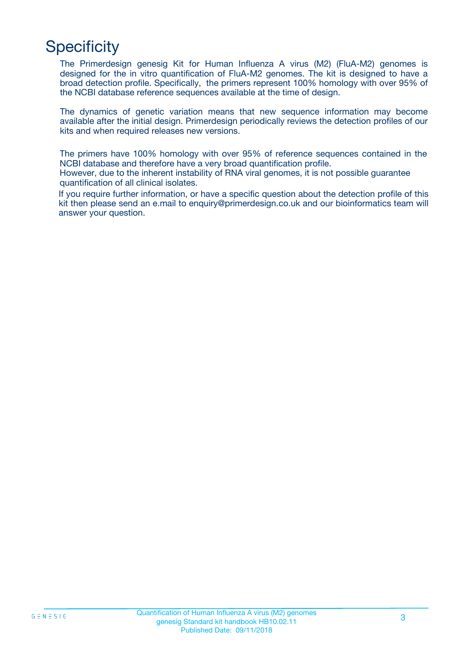# **Specificity**

The Primerdesign genesig Kit for Human Influenza A virus (M2) (FluA-M2) genomes is designed for the in vitro quantification of FluA-M2 genomes. The kit is designed to have a broad detection profile. Specifically, the primers represent 100% homology with over 95% of the NCBI database reference sequences available at the time of design.

The dynamics of genetic variation means that new sequence information may become available after the initial design. Primerdesign periodically reviews the detection profiles of our kits and when required releases new versions.

The primers have 100% homology with over 95% of reference sequences contained in the NCBI database and therefore have a very broad quantification profile.

However, due to the inherent instability of RNA viral genomes, it is not possible guarantee quantification of all clinical isolates.

If you require further information, or have a specific question about the detection profile of this kit then please send an e.mail to enquiry@primerdesign.co.uk and our bioinformatics team will answer your question.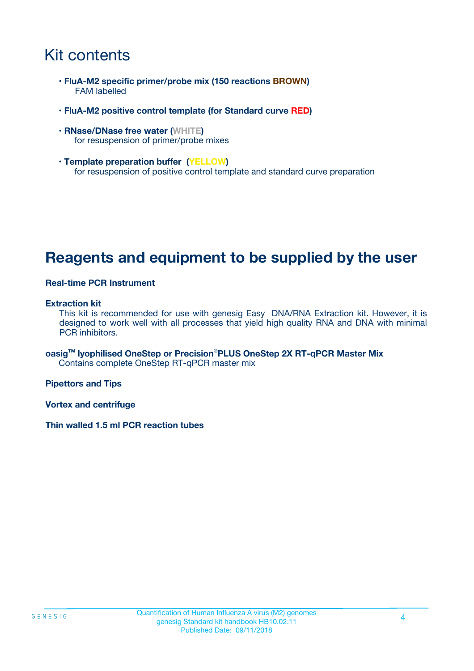# Kit contents

- **FluA-M2 specific primer/probe mix (150 reactions BROWN)** FAM labelled
- **FluA-M2 positive control template (for Standard curve RED)**
- **RNase/DNase free water (WHITE)** for resuspension of primer/probe mixes
- **Template preparation buffer (YELLOW)** for resuspension of positive control template and standard curve preparation

## **Reagents and equipment to be supplied by the user**

#### **Real-time PCR Instrument**

#### **Extraction kit**

This kit is recommended for use with genesig Easy DNA/RNA Extraction kit. However, it is designed to work well with all processes that yield high quality RNA and DNA with minimal PCR inhibitors.

**oasigTM lyophilised OneStep or Precision**®**PLUS OneStep 2X RT-qPCR Master Mix** Contains complete OneStep RT-qPCR master mix

**Pipettors and Tips**

**Vortex and centrifuge**

**Thin walled 1.5 ml PCR reaction tubes**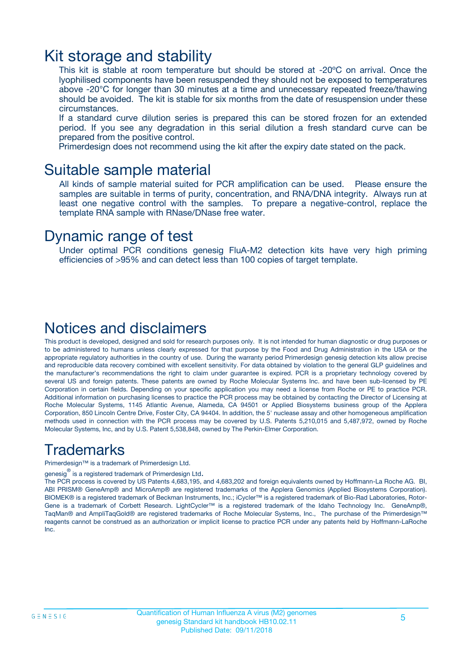### Kit storage and stability

This kit is stable at room temperature but should be stored at -20ºC on arrival. Once the lyophilised components have been resuspended they should not be exposed to temperatures above -20°C for longer than 30 minutes at a time and unnecessary repeated freeze/thawing should be avoided. The kit is stable for six months from the date of resuspension under these circumstances.

If a standard curve dilution series is prepared this can be stored frozen for an extended period. If you see any degradation in this serial dilution a fresh standard curve can be prepared from the positive control.

Primerdesign does not recommend using the kit after the expiry date stated on the pack.

### Suitable sample material

All kinds of sample material suited for PCR amplification can be used. Please ensure the samples are suitable in terms of purity, concentration, and RNA/DNA integrity. Always run at least one negative control with the samples. To prepare a negative-control, replace the template RNA sample with RNase/DNase free water.

### Dynamic range of test

Under optimal PCR conditions genesig FluA-M2 detection kits have very high priming efficiencies of >95% and can detect less than 100 copies of target template.

### Notices and disclaimers

This product is developed, designed and sold for research purposes only. It is not intended for human diagnostic or drug purposes or to be administered to humans unless clearly expressed for that purpose by the Food and Drug Administration in the USA or the appropriate regulatory authorities in the country of use. During the warranty period Primerdesign genesig detection kits allow precise and reproducible data recovery combined with excellent sensitivity. For data obtained by violation to the general GLP guidelines and the manufacturer's recommendations the right to claim under guarantee is expired. PCR is a proprietary technology covered by several US and foreign patents. These patents are owned by Roche Molecular Systems Inc. and have been sub-licensed by PE Corporation in certain fields. Depending on your specific application you may need a license from Roche or PE to practice PCR. Additional information on purchasing licenses to practice the PCR process may be obtained by contacting the Director of Licensing at Roche Molecular Systems, 1145 Atlantic Avenue, Alameda, CA 94501 or Applied Biosystems business group of the Applera Corporation, 850 Lincoln Centre Drive, Foster City, CA 94404. In addition, the 5' nuclease assay and other homogeneous amplification methods used in connection with the PCR process may be covered by U.S. Patents 5,210,015 and 5,487,972, owned by Roche Molecular Systems, Inc, and by U.S. Patent 5,538,848, owned by The Perkin-Elmer Corporation.

### Trademarks

Primerdesign™ is a trademark of Primerdesign Ltd.

genesig $^\circledR$  is a registered trademark of Primerdesign Ltd.

The PCR process is covered by US Patents 4,683,195, and 4,683,202 and foreign equivalents owned by Hoffmann-La Roche AG. BI, ABI PRISM® GeneAmp® and MicroAmp® are registered trademarks of the Applera Genomics (Applied Biosystems Corporation). BIOMEK® is a registered trademark of Beckman Instruments, Inc.; iCycler™ is a registered trademark of Bio-Rad Laboratories, Rotor-Gene is a trademark of Corbett Research. LightCycler™ is a registered trademark of the Idaho Technology Inc. GeneAmp®, TaqMan® and AmpliTaqGold® are registered trademarks of Roche Molecular Systems, Inc., The purchase of the Primerdesign™ reagents cannot be construed as an authorization or implicit license to practice PCR under any patents held by Hoffmann-LaRoche Inc.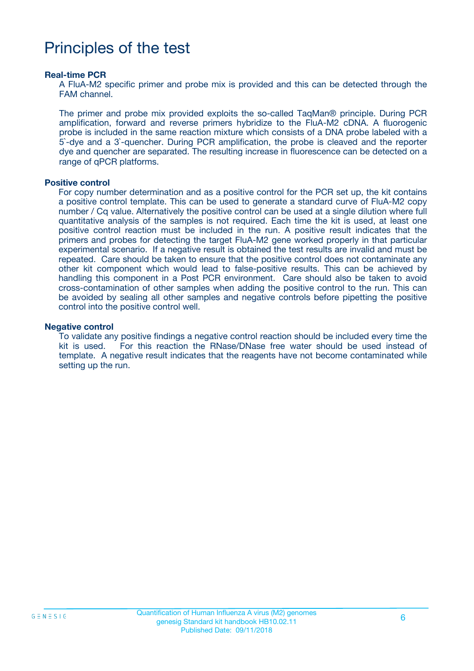# Principles of the test

#### **Real-time PCR**

A FluA-M2 specific primer and probe mix is provided and this can be detected through the FAM channel.

The primer and probe mix provided exploits the so-called TaqMan® principle. During PCR amplification, forward and reverse primers hybridize to the FluA-M2 cDNA. A fluorogenic probe is included in the same reaction mixture which consists of a DNA probe labeled with a 5`-dye and a 3`-quencher. During PCR amplification, the probe is cleaved and the reporter dye and quencher are separated. The resulting increase in fluorescence can be detected on a range of qPCR platforms.

#### **Positive control**

For copy number determination and as a positive control for the PCR set up, the kit contains a positive control template. This can be used to generate a standard curve of FluA-M2 copy number / Cq value. Alternatively the positive control can be used at a single dilution where full quantitative analysis of the samples is not required. Each time the kit is used, at least one positive control reaction must be included in the run. A positive result indicates that the primers and probes for detecting the target FluA-M2 gene worked properly in that particular experimental scenario. If a negative result is obtained the test results are invalid and must be repeated. Care should be taken to ensure that the positive control does not contaminate any other kit component which would lead to false-positive results. This can be achieved by handling this component in a Post PCR environment. Care should also be taken to avoid cross-contamination of other samples when adding the positive control to the run. This can be avoided by sealing all other samples and negative controls before pipetting the positive control into the positive control well.

#### **Negative control**

To validate any positive findings a negative control reaction should be included every time the kit is used. For this reaction the RNase/DNase free water should be used instead of template. A negative result indicates that the reagents have not become contaminated while setting up the run.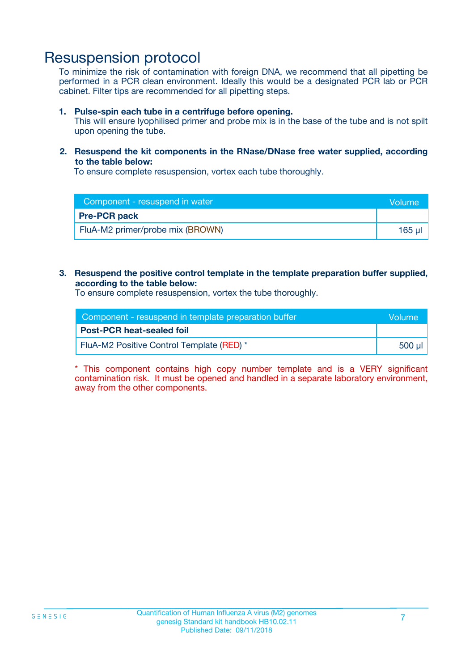### Resuspension protocol

To minimize the risk of contamination with foreign DNA, we recommend that all pipetting be performed in a PCR clean environment. Ideally this would be a designated PCR lab or PCR cabinet. Filter tips are recommended for all pipetting steps.

#### **1. Pulse-spin each tube in a centrifuge before opening.**

This will ensure lyophilised primer and probe mix is in the base of the tube and is not spilt upon opening the tube.

**2. Resuspend the kit components in the RNase/DNase free water supplied, according to the table below:**

To ensure complete resuspension, vortex each tube thoroughly.

| Component - resuspend in water   | <b>Volume</b> |
|----------------------------------|---------------|
| <b>Pre-PCR pack</b>              |               |
| FluA-M2 primer/probe mix (BROWN) | 165 µl        |

#### **3. Resuspend the positive control template in the template preparation buffer supplied, according to the table below:**

To ensure complete resuspension, vortex the tube thoroughly.

| Component - resuspend in template preparation buffer |                      |  |
|------------------------------------------------------|----------------------|--|
| <b>Post-PCR heat-sealed foil</b>                     |                      |  |
| FluA-M2 Positive Control Template (RED) *            | ี 500 ม <sup>ู</sup> |  |

\* This component contains high copy number template and is a VERY significant contamination risk. It must be opened and handled in a separate laboratory environment, away from the other components.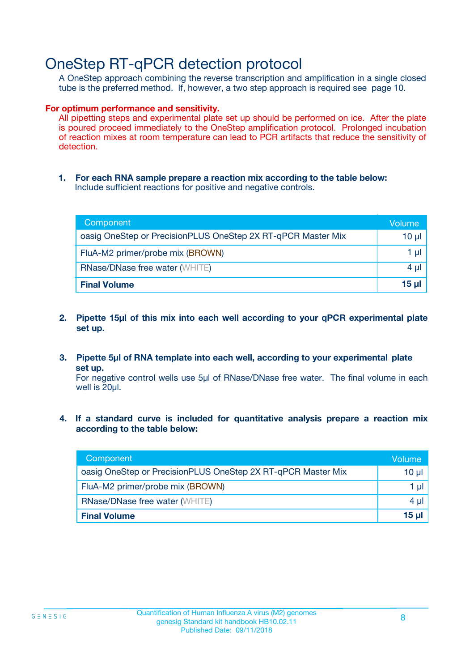## OneStep RT-qPCR detection protocol

A OneStep approach combining the reverse transcription and amplification in a single closed tube is the preferred method. If, however, a two step approach is required see page 10.

#### **For optimum performance and sensitivity.**

All pipetting steps and experimental plate set up should be performed on ice. After the plate is poured proceed immediately to the OneStep amplification protocol. Prolonged incubation of reaction mixes at room temperature can lead to PCR artifacts that reduce the sensitivity of detection.

**1. For each RNA sample prepare a reaction mix according to the table below:** Include sufficient reactions for positive and negative controls.

| Component                                                    | Volume   |
|--------------------------------------------------------------|----------|
| oasig OneStep or PrecisionPLUS OneStep 2X RT-qPCR Master Mix | $10 \mu$ |
| FluA-M2 primer/probe mix (BROWN)                             | 1 µl     |
| <b>RNase/DNase free water (WHITE)</b>                        | $4 \mu$  |
| <b>Final Volume</b>                                          | $15$ µ   |

- **2. Pipette 15µl of this mix into each well according to your qPCR experimental plate set up.**
- **3. Pipette 5µl of RNA template into each well, according to your experimental plate set up.**

For negative control wells use 5µl of RNase/DNase free water. The final volume in each well is 20ul.

**4. If a standard curve is included for quantitative analysis prepare a reaction mix according to the table below:**

| Component                                                    | Volume  |
|--------------------------------------------------------------|---------|
| oasig OneStep or PrecisionPLUS OneStep 2X RT-qPCR Master Mix | 10 µl   |
| FluA-M2 primer/probe mix (BROWN)                             | 1 ul    |
| <b>RNase/DNase free water (WHITE)</b>                        | $4 \mu$ |
| <b>Final Volume</b>                                          | 15 ul   |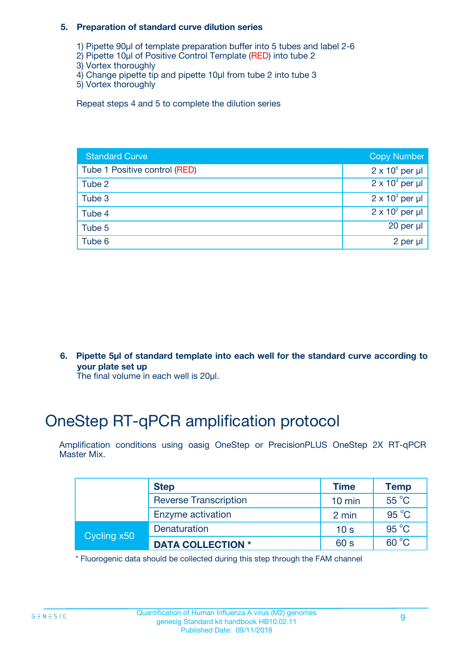#### **5. Preparation of standard curve dilution series**

- 1) Pipette 90µl of template preparation buffer into 5 tubes and label 2-6
- 2) Pipette 10µl of Positive Control Template (RED) into tube 2
- 3) Vortex thoroughly
- 4) Change pipette tip and pipette 10µl from tube 2 into tube 3
- 5) Vortex thoroughly

Repeat steps 4 and 5 to complete the dilution series

| <b>Standard Curve</b>         | <b>Copy Number</b>     |
|-------------------------------|------------------------|
| Tube 1 Positive control (RED) | $2 \times 10^5$ per µl |
| Tube 2                        | $2 \times 10^4$ per µl |
| Tube 3                        | $2 \times 10^3$ per µl |
| Tube 4                        | $2 \times 10^2$ per µl |
| Tube 5                        | 20 per $\mu$           |
| Tube 6                        | 2 per µl               |

**6. Pipette 5µl of standard template into each well for the standard curve according to your plate set up**

The final volume in each well is 20ul.

# OneStep RT-qPCR amplification protocol

Amplification conditions using oasig OneStep or PrecisionPLUS OneStep 2X RT-qPCR Master Mix.

|             | <b>Step</b>                  | <b>Time</b>      | <b>Temp</b>    |
|-------------|------------------------------|------------------|----------------|
|             | <b>Reverse Transcription</b> | $10 \text{ min}$ | 55 °C          |
|             | Enzyme activation            | 2 min            | $95^{\circ}$ C |
| Cycling x50 | Denaturation                 | 10 <sub>s</sub>  | $95^{\circ}$ C |
|             | <b>DATA COLLECTION *</b>     | 60 s             | $60^{\circ}$ C |

\* Fluorogenic data should be collected during this step through the FAM channel